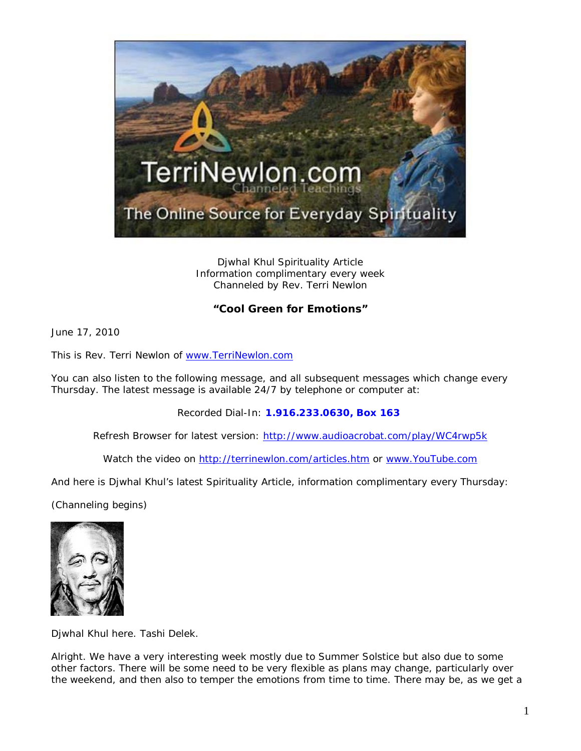

Djwhal Khul Spirituality Article Information complimentary every week Channeled by Rev. Terri Newlon

## **"Cool Green for Emotions"**

June 17, 2010

This is Rev. Terri Newlon of [www.TerriNewlon.com](http://www.terrinewlon.com/)

You can also listen to the following message, and all subsequent messages which change every Thursday. The latest message is available 24/7 by telephone or computer at:

Recorded Dial-In: **1.916.233.0630, Box 163**

Refresh Browser for latest version: <http://www.audioacrobat.com/play/WC4rwp5k>

Watch the video on<http://terrinewlon.com/articles.htm> or [www.YouTube.com](http://www.youtube.com/)

And here is Djwhal Khul's latest Spirituality Article, information complimentary every Thursday:

(Channeling begins)



Djwhal Khul here. Tashi Delek.

Alright. We have a very interesting week mostly due to Summer Solstice but also due to some other factors. There will be some need to be very flexible as plans may change, particularly over the weekend, and then also to temper the emotions from time to time. There may be, as we get a